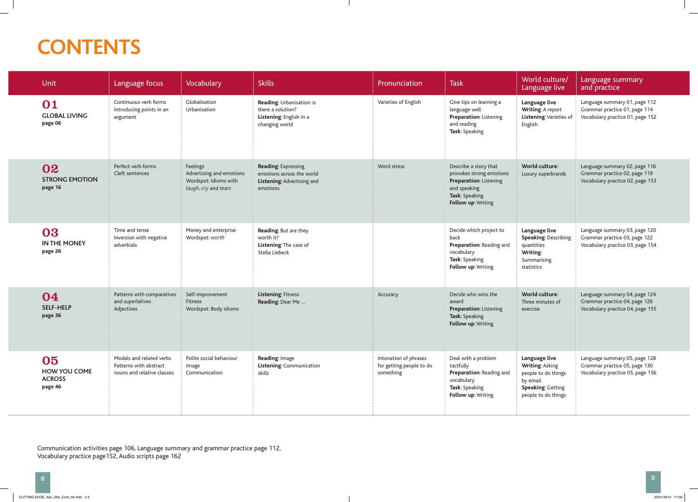## **CONTENTS**

| <b>Unit</b>                                           | Language focus                                                                   | Vocabulary                                                                            | <b>Skills</b>                                                                                     | Pronunciation                                                  | <b>Task</b>                                                                                                                                | World culture/<br>Language live                                                                                        | Language summary<br>and practice                                                                   |
|-------------------------------------------------------|----------------------------------------------------------------------------------|---------------------------------------------------------------------------------------|---------------------------------------------------------------------------------------------------|----------------------------------------------------------------|--------------------------------------------------------------------------------------------------------------------------------------------|------------------------------------------------------------------------------------------------------------------------|----------------------------------------------------------------------------------------------------|
| 01<br><b>GLOBAL LIVING</b><br>page 06                 | Continuous verb forms<br>Introducing points in an<br>argument                    | Globalisation<br>Urbanisation                                                         | Reading: Urbanisation: is<br>there a solution?<br>Listening: English in a<br>changing world       | Varieties of English                                           | Give tips on learning a<br>language well<br><b>Preparation: Listening</b><br>and reading<br>Task: Speaking                                 | Language live<br>Writing: A report<br>Listening: Varieties of<br>English                                               | Language summary 01, page 112<br>Grammar practice 01, page 114<br>Vocabulary practice 01, page 152 |
| 02<br><b>STRONG EMOTION</b><br>page 16                | Perfect verb forms<br>Cleft sentences                                            | Feelings<br>Advertising and emotions<br>Wordspot: Idioms with<br>laugh, cry and tears | <b>Reading: Expressing</b><br>emotions across the world<br>Listening: Advertising and<br>emotions | Word stress                                                    | Describe a story that<br>provokes strong emotions<br><b>Preparation: Listening</b><br>and speaking<br>Task: Speaking<br>Follow up: Writing | World culture:<br>Luxury superbrands                                                                                   | Language summary 02, page 116<br>Grammar practice 02, page 119<br>Vocabulary practice 02, page 153 |
| 03<br><b>IN THE MONEY</b><br>page 26                  | Time and tense<br>Inversion with negative<br>adverbials                          | Money and enterprise<br>Wordspot: worth                                               | Reading: But are they<br>worth it?<br>Listening: The case of<br>Stella Liebeck                    |                                                                | Decide which project to<br>back<br>Preparation: Reading and<br>vocabulary<br>Task: Speaking<br>Follow up: Writing                          | Language live<br><b>Speaking: Describing</b><br>quantities<br>Writing:<br>Summarising<br>statistics                    | Language summary 03, page 120<br>Grammar practice 03, page 122<br>Vocabulary practice 03, page 154 |
| 04<br><b>SELF-HELP</b><br>page 36                     | Patterns with comparatives<br>and superlatives<br>Adjectives                     | Self-improvement<br>Fitness<br>Wordspot: Body idioms                                  | Listening: Fitness<br>Reading: Dear Me                                                            | Accuracy                                                       | Decide who wins the<br>award<br><b>Preparation: Listening</b><br>Task: Speaking<br>Follow up: Writing                                      | World culture:<br>Three minutes of<br>exercise                                                                         | Language summary 04, page 124<br>Grammar practice 04, page 126<br>Vocabulary practice 04, page 155 |
| 05<br><b>HOW YOU COME</b><br><b>ACROSS</b><br>page 46 | Modals and related verbs<br>Patterns with abstract<br>nouns and relative clauses | Polite social behaviour<br>Image<br>Communication                                     | Reading: Image<br>Listening: Communication<br>skills                                              | Intonation of phrases<br>for getting people to do<br>something | Deal with a problem<br>tactfully<br>Preparation: Reading and<br>vocabulary<br>Task: Speaking<br>Follow up: Writing                         | Language live<br>Writing: Asking<br>people to do things<br>by email<br><b>Speaking: Getting</b><br>people to do things | Language summary 05, page 128<br>Grammar practice 05, page 130<br>Vocabulary practice 05, page 156 |

Communication activities page 106, Language summary and grammar practice page 112, Vocabulary practice page152, Audio scripts page 162